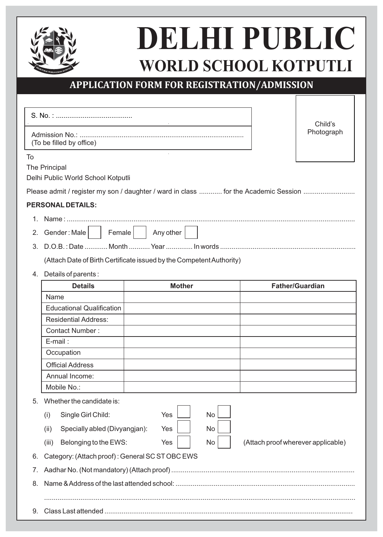

9. Class Last attended ..................

# **DELHI PUBLIC WORLD SCHOOL KOTPUTLI**

 $\Gamma$ 

٦

# **APPLICATION FORM FOR REGISTRATION/ADMISSION**

|    |                                                                      |               |           |                                    | Child's                |  |
|----|----------------------------------------------------------------------|---------------|-----------|------------------------------------|------------------------|--|
|    | (To be filled by office)                                             |               |           |                                    | Photograph             |  |
| To | The Principal<br>Delhi Public World School Kotputli                  |               |           |                                    |                        |  |
|    |                                                                      |               |           |                                    |                        |  |
|    | <b>PERSONAL DETAILS:</b>                                             |               |           |                                    |                        |  |
|    |                                                                      |               |           |                                    |                        |  |
| 2. | Gender: Male<br>Female                                               | Any other     |           |                                    |                        |  |
| 3. |                                                                      |               |           |                                    |                        |  |
|    | (Attach Date of Birth Certificate issued by the Competent Authority) |               |           |                                    |                        |  |
| 4. | Details of parents:                                                  |               |           |                                    |                        |  |
|    | <b>Details</b>                                                       | <b>Mother</b> |           |                                    | <b>Father/Guardian</b> |  |
|    | Name                                                                 |               |           |                                    |                        |  |
|    | <b>Educational Qualification</b>                                     |               |           |                                    |                        |  |
|    | <b>Residential Address:</b>                                          |               |           |                                    |                        |  |
|    | <b>Contact Number:</b>                                               |               |           |                                    |                        |  |
|    | E-mail:                                                              |               |           |                                    |                        |  |
|    | Occupation                                                           |               |           |                                    |                        |  |
|    | <b>Official Address</b>                                              |               |           |                                    |                        |  |
|    | Annual Income:                                                       |               |           |                                    |                        |  |
|    | Mobile No.:                                                          |               |           |                                    |                        |  |
| 5. | Whether the candidate is:                                            |               |           |                                    |                        |  |
|    | Single Girl Child:<br>(i)                                            | Yes           | <b>No</b> |                                    |                        |  |
|    | Specially abled (Divyangjan):<br>(ii)                                | Yes           | No        |                                    |                        |  |
|    | (iii)<br>Belonging to the EWS:                                       | Yes           | No        | (Attach proof wherever applicable) |                        |  |
| 6. | Category: (Attach proof): General SC ST OBC EWS                      |               |           |                                    |                        |  |
| 7. |                                                                      |               |           |                                    |                        |  |
| 8. |                                                                      |               |           |                                    |                        |  |
|    |                                                                      |               |           |                                    |                        |  |